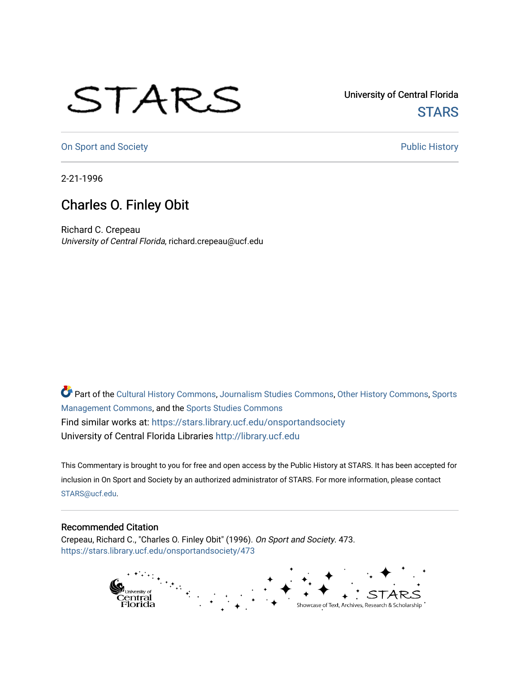## STARS

University of Central Florida **STARS** 

[On Sport and Society](https://stars.library.ucf.edu/onsportandsociety) **Public History** Public History

2-21-1996

## Charles O. Finley Obit

Richard C. Crepeau University of Central Florida, richard.crepeau@ucf.edu

Part of the [Cultural History Commons](http://network.bepress.com/hgg/discipline/496?utm_source=stars.library.ucf.edu%2Fonsportandsociety%2F473&utm_medium=PDF&utm_campaign=PDFCoverPages), [Journalism Studies Commons,](http://network.bepress.com/hgg/discipline/333?utm_source=stars.library.ucf.edu%2Fonsportandsociety%2F473&utm_medium=PDF&utm_campaign=PDFCoverPages) [Other History Commons,](http://network.bepress.com/hgg/discipline/508?utm_source=stars.library.ucf.edu%2Fonsportandsociety%2F473&utm_medium=PDF&utm_campaign=PDFCoverPages) [Sports](http://network.bepress.com/hgg/discipline/1193?utm_source=stars.library.ucf.edu%2Fonsportandsociety%2F473&utm_medium=PDF&utm_campaign=PDFCoverPages) [Management Commons](http://network.bepress.com/hgg/discipline/1193?utm_source=stars.library.ucf.edu%2Fonsportandsociety%2F473&utm_medium=PDF&utm_campaign=PDFCoverPages), and the [Sports Studies Commons](http://network.bepress.com/hgg/discipline/1198?utm_source=stars.library.ucf.edu%2Fonsportandsociety%2F473&utm_medium=PDF&utm_campaign=PDFCoverPages) Find similar works at: <https://stars.library.ucf.edu/onsportandsociety> University of Central Florida Libraries [http://library.ucf.edu](http://library.ucf.edu/) 

This Commentary is brought to you for free and open access by the Public History at STARS. It has been accepted for inclusion in On Sport and Society by an authorized administrator of STARS. For more information, please contact [STARS@ucf.edu](mailto:STARS@ucf.edu).

## Recommended Citation

Crepeau, Richard C., "Charles O. Finley Obit" (1996). On Sport and Society. 473. [https://stars.library.ucf.edu/onsportandsociety/473](https://stars.library.ucf.edu/onsportandsociety/473?utm_source=stars.library.ucf.edu%2Fonsportandsociety%2F473&utm_medium=PDF&utm_campaign=PDFCoverPages)

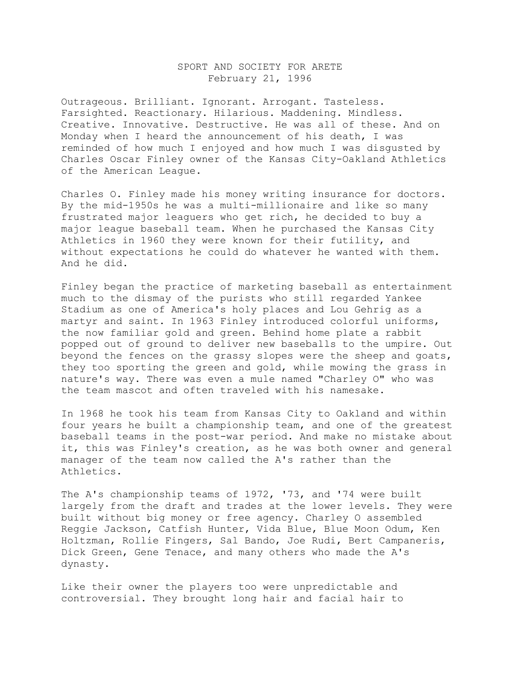## SPORT AND SOCIETY FOR ARETE February 21, 1996

Outrageous. Brilliant. Ignorant. Arrogant. Tasteless. Farsighted. Reactionary. Hilarious. Maddening. Mindless. Creative. Innovative. Destructive. He was all of these. And on Monday when I heard the announcement of his death, I was reminded of how much I enjoyed and how much I was disgusted by Charles Oscar Finley owner of the Kansas City-Oakland Athletics of the American League.

Charles O. Finley made his money writing insurance for doctors. By the mid-1950s he was a multi-millionaire and like so many frustrated major leaguers who get rich, he decided to buy a major league baseball team. When he purchased the Kansas City Athletics in 1960 they were known for their futility, and without expectations he could do whatever he wanted with them. And he did.

Finley began the practice of marketing baseball as entertainment much to the dismay of the purists who still regarded Yankee Stadium as one of America's holy places and Lou Gehrig as a martyr and saint. In 1963 Finley introduced colorful uniforms, the now familiar gold and green. Behind home plate a rabbit popped out of ground to deliver new baseballs to the umpire. Out beyond the fences on the grassy slopes were the sheep and goats, they too sporting the green and gold, while mowing the grass in nature's way. There was even a mule named "Charley O" who was the team mascot and often traveled with his namesake.

In 1968 he took his team from Kansas City to Oakland and within four years he built a championship team, and one of the greatest baseball teams in the post-war period. And make no mistake about it, this was Finley's creation, as he was both owner and general manager of the team now called the A's rather than the Athletics.

The A's championship teams of 1972, '73, and '74 were built largely from the draft and trades at the lower levels. They were built without big money or free agency. Charley O assembled Reggie Jackson, Catfish Hunter, Vida Blue, Blue Moon Odum, Ken Holtzman, Rollie Fingers, Sal Bando, Joe Rudi, Bert Campaneris, Dick Green, Gene Tenace, and many others who made the A's dynasty.

Like their owner the players too were unpredictable and controversial. They brought long hair and facial hair to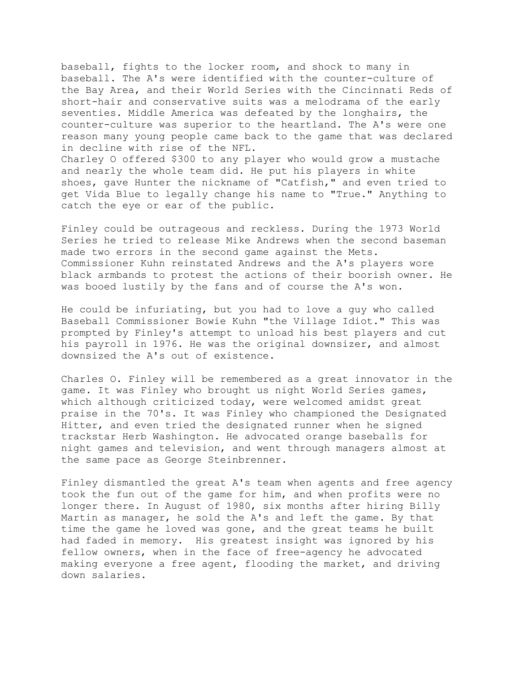baseball, fights to the locker room, and shock to many in baseball. The A's were identified with the counter-culture of the Bay Area, and their World Series with the Cincinnati Reds of short-hair and conservative suits was a melodrama of the early seventies. Middle America was defeated by the longhairs, the counter-culture was superior to the heartland. The A's were one reason many young people came back to the game that was declared in decline with rise of the NFL.

Charley O offered \$300 to any player who would grow a mustache and nearly the whole team did. He put his players in white shoes, gave Hunter the nickname of "Catfish," and even tried to get Vida Blue to legally change his name to "True." Anything to catch the eye or ear of the public.

Finley could be outrageous and reckless. During the 1973 World Series he tried to release Mike Andrews when the second baseman made two errors in the second game against the Mets. Commissioner Kuhn reinstated Andrews and the A's players wore black armbands to protest the actions of their boorish owner. He was booed lustily by the fans and of course the A's won.

He could be infuriating, but you had to love a guy who called Baseball Commissioner Bowie Kuhn "the Village Idiot." This was prompted by Finley's attempt to unload his best players and cut his payroll in 1976. He was the original downsizer, and almost downsized the A's out of existence.

Charles O. Finley will be remembered as a great innovator in the game. It was Finley who brought us night World Series games, which although criticized today, were welcomed amidst great praise in the 70's. It was Finley who championed the Designated Hitter, and even tried the designated runner when he signed trackstar Herb Washington. He advocated orange baseballs for night games and television, and went through managers almost at the same pace as George Steinbrenner.

Finley dismantled the great A's team when agents and free agency took the fun out of the game for him, and when profits were no longer there. In August of 1980, six months after hiring Billy Martin as manager, he sold the A's and left the game. By that time the game he loved was gone, and the great teams he built had faded in memory. His greatest insight was ignored by his fellow owners, when in the face of free-agency he advocated making everyone a free agent, flooding the market, and driving down salaries.